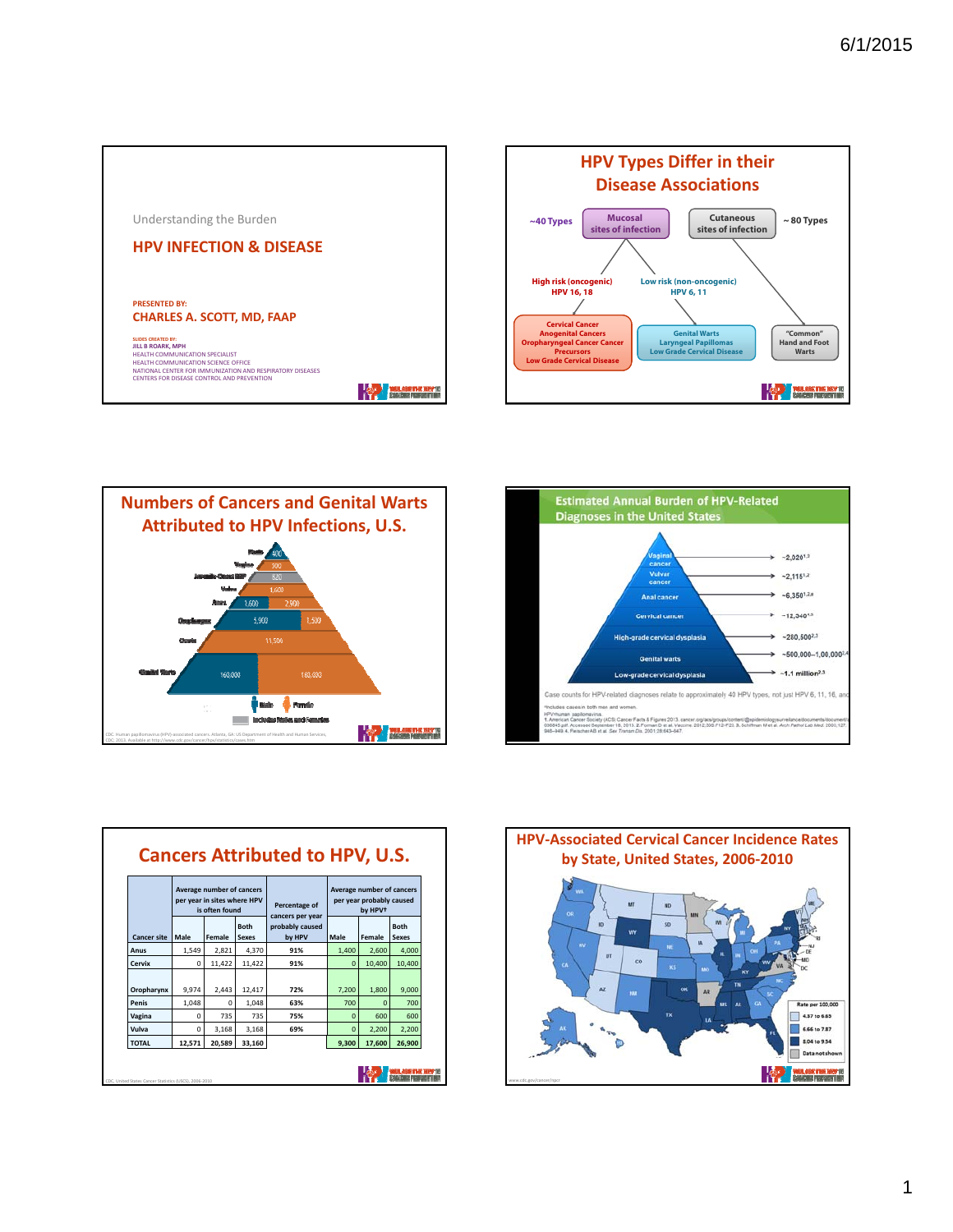









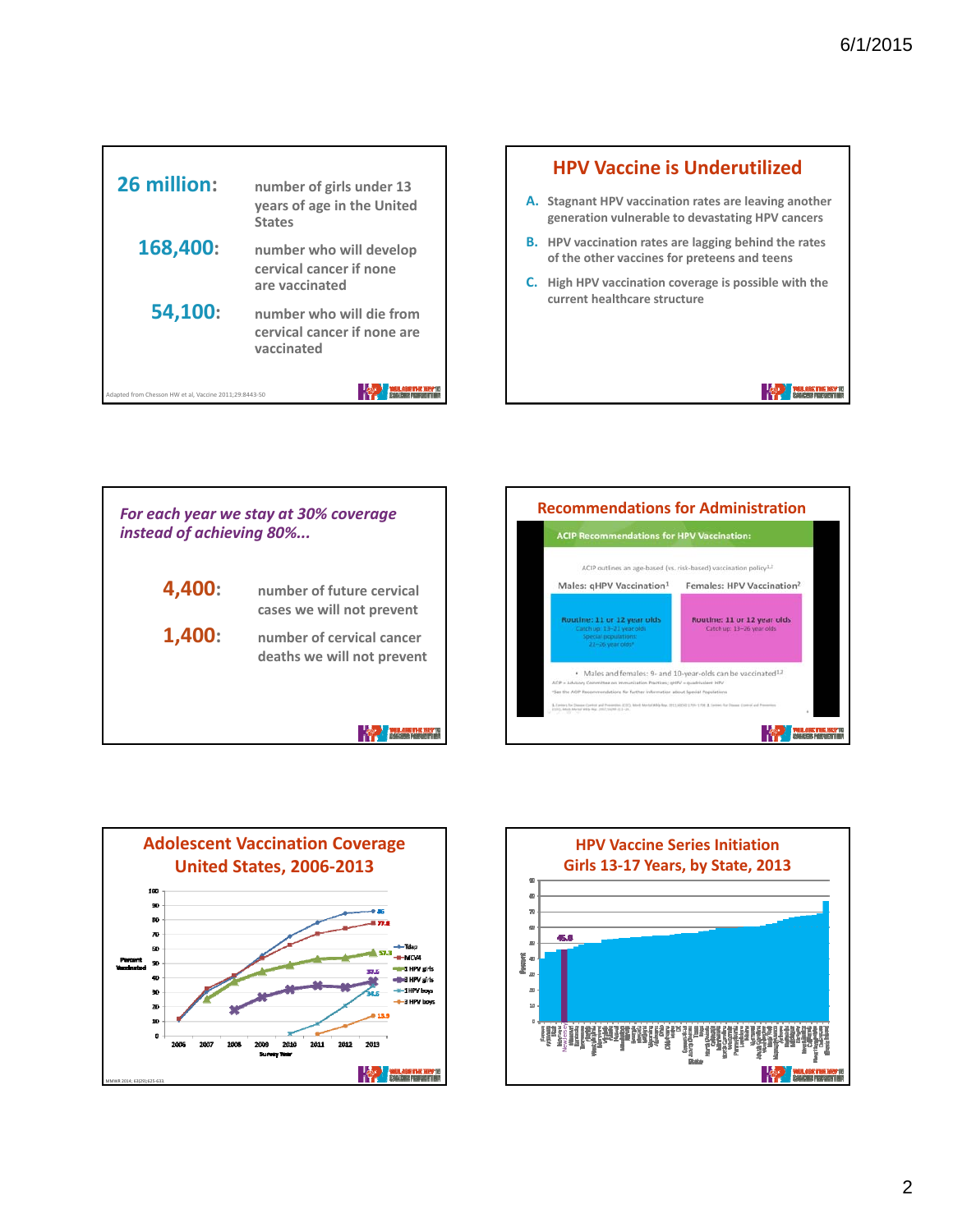**THE PERSON NEWSFILM** 



#### **HPV Vaccine is Underutilized**

- **A. Stagnant HPV vaccination rates are leaving another generation vulnerable to devastating HPV cancers**
- **B. HPV vaccination rates are lagging behind the rates of the other vaccines for preteens and teens**
- **C. High HPV vaccination coverage is possible with the current healthcare structure**

*For each year we stay at 30% coverage instead of achieving 80%...* **4,400: number of future cervical cases we will not prevent 1,400: number of cervical cancer deaths we will not prevent The Massachusetts** 





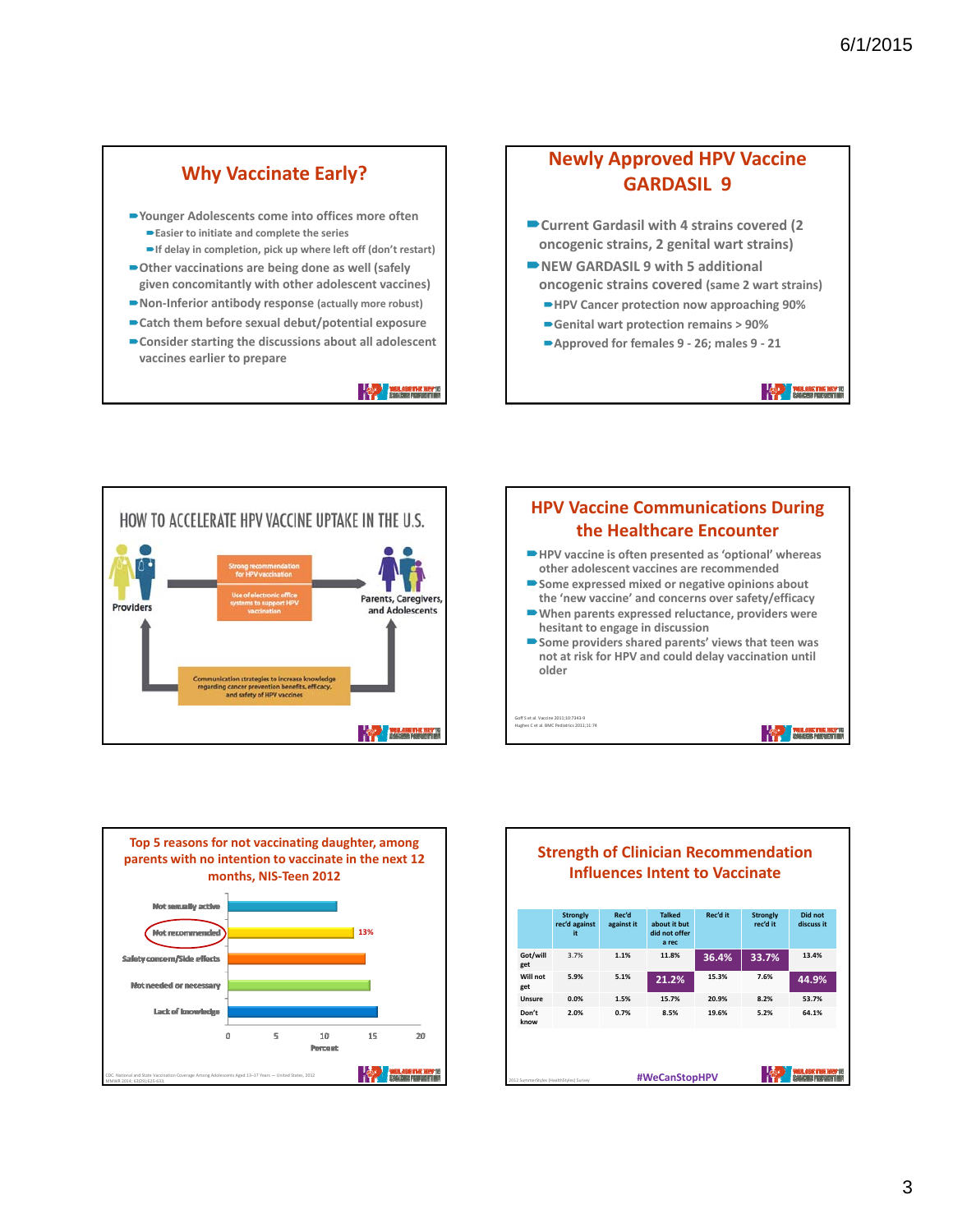## **Why Vaccinate Early?**

- **Younger Adolescents come into offices more often Easier to initiate and complete the series**
	- **If delay in completion, pick up where left off (don't restart)**
- **Other vaccinations are being done as well (safely given concomitantly with other adolescent vaccines)**
- **Non‐Inferior antibody response (actually more robust)**
- **Catch them before sexual debut/potential exposure**
- **Consider starting the discussions about all adolescent vaccines earlier to prepare**

**The President and The Party President** 

## **Newly Approved HPV Vaccine GARDASIL 9**

- **Current Gardasil with 4 strains covered (2 oncogenic strains, 2 genital wart strains)**
- **NEW GARDASIL 9 with 5 additional oncogenic strains covered (same 2 wart strains)**
	- **HPV Cancer protection now approaching 90%**
	- **Genital wart protection remains > 90%**
	- **Approved for females 9 ‐ 26; males 9 ‐ 21**

**THE REAL PROPERTY IN** 







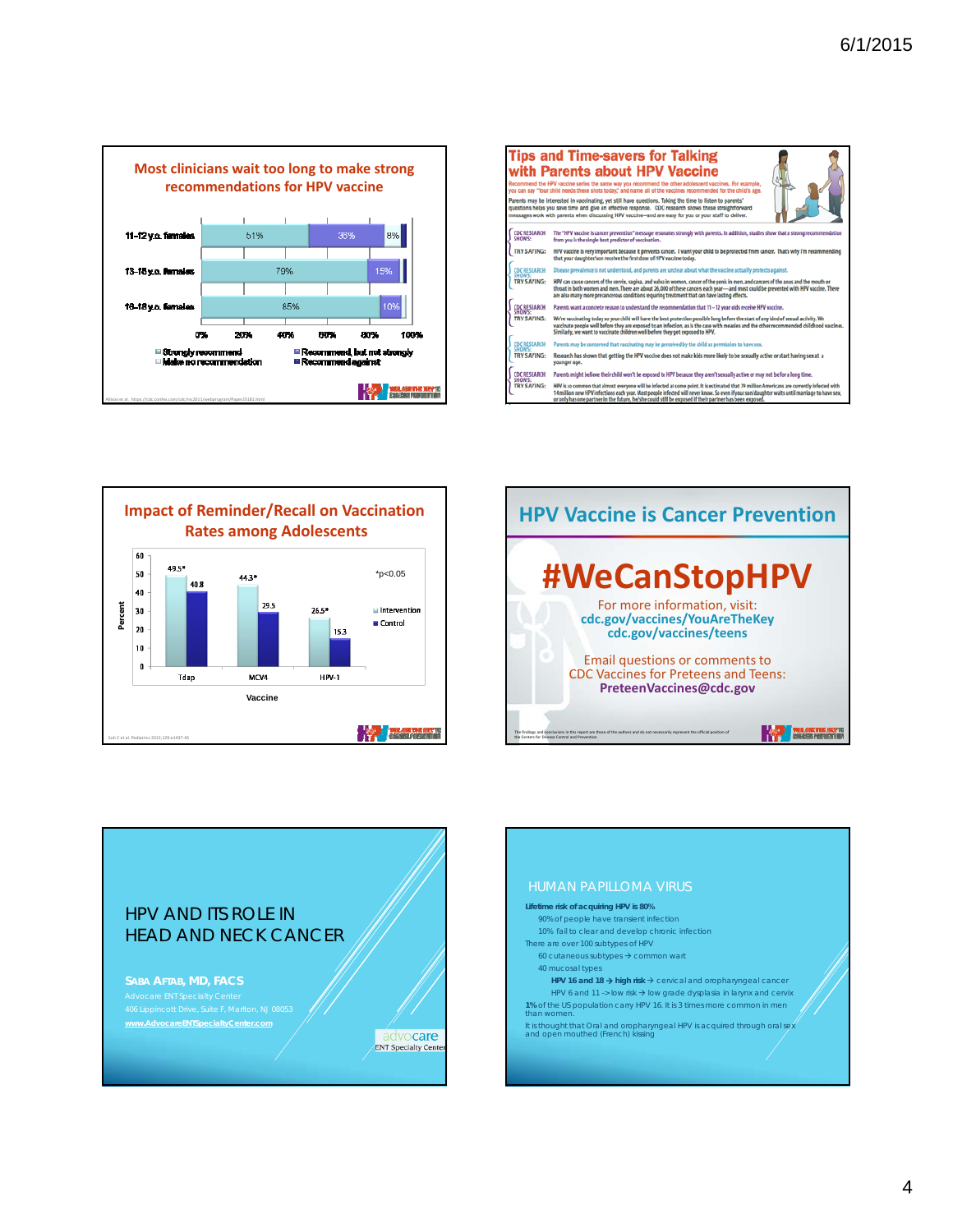

| <b>Tips and Time-savers for Talking</b><br>with Parents about HPV Vaccine<br>Recommend the HPV vaccine series the same way you recommend the other adolescent vaccines. For example,<br>you can say "Your child needs these shots today," and name all of the vaccines recommended for the child's age.                      |                                                                                                                                                                                                                                                                                                                                                                                                         |
|------------------------------------------------------------------------------------------------------------------------------------------------------------------------------------------------------------------------------------------------------------------------------------------------------------------------------|---------------------------------------------------------------------------------------------------------------------------------------------------------------------------------------------------------------------------------------------------------------------------------------------------------------------------------------------------------------------------------------------------------|
| Parents may be interested in vaccinating, yet still have questions. Taking the time to listen to parents'<br>questions helps you save time and give an effective response. CDC research shows these straightforward<br>messages work with parents when discussing HPV vaccine-and are easy for you or your staff to deliver. |                                                                                                                                                                                                                                                                                                                                                                                                         |
| <b>CDC RESEARCH</b><br>SHOWS:                                                                                                                                                                                                                                                                                                | The "HPV vaccine is cancer prevention" message resonates strongly with parents. In addition, studies show that a strong recommendation<br>from you is the single best predictor of vaccination.                                                                                                                                                                                                         |
| TRY SAYING:                                                                                                                                                                                                                                                                                                                  | HPV vaccine is very important because it prevents cancer. I want your child to be protected from cancer. That's why I'm recommending<br>that your daughter/son receive the first dose of HPV vaccine today.                                                                                                                                                                                             |
| <b>CDC RESEARCH</b><br><b>CHOWS-</b>                                                                                                                                                                                                                                                                                         | Disease prevalence is not understood, and parents are unclear about what the vaccine actually protects against.                                                                                                                                                                                                                                                                                         |
| <b>TRY SAYING:</b>                                                                                                                                                                                                                                                                                                           | HPV can cause cancers of the cervix, vagina, and vulva in women, cancer of the penis in men, and cancers of the anus and the mouth or<br>throat in both women and men. There are about 26,000 of these cancers each year-and most could be prevented with HPV vaccine. There<br>are also many more precancerous conditions requiring treatment that can have lasting effects.                           |
| <b>CDC RESEARCH</b><br>SHOWS-                                                                                                                                                                                                                                                                                                | Parents want a concrete reason to understand the recommendation that 11-12 year olds receive HPV vaccine.                                                                                                                                                                                                                                                                                               |
| TRY SAYING:                                                                                                                                                                                                                                                                                                                  | We're vaccinating today so your child will have the best protection possible long before the start of any kind of sexual activity. We<br>vaccinate people well before they are exposed to an infection, as is the case with measles and the other recommended childhood vaccines.<br>Similarly, we want to vaccinate children well before they get exposed to HPV.                                      |
| CDC RESEARCH<br>SHOW'S:                                                                                                                                                                                                                                                                                                      | Parents may be concerned that vaccinating may be perceived by the child as permission to have sex.                                                                                                                                                                                                                                                                                                      |
| TRY SAYING:                                                                                                                                                                                                                                                                                                                  | Research has shown that getting the HPV vaccine does not make kids more likely to be sexually active or start having sex at a<br>younger age.                                                                                                                                                                                                                                                           |
| <b>CDC RESEARCH</b><br>SHOWS:                                                                                                                                                                                                                                                                                                | Parents might believe their child won't be exposed to HPV because they aren't sexually active or may not be for a long time.                                                                                                                                                                                                                                                                            |
| <b>TRY SAYING:</b>                                                                                                                                                                                                                                                                                                           | HPV is so common that almost everyone will be infected at some point. It is estimated that 79 million Americans are currently infected with<br>14 million new HPV infections each year. Most people infected will never know. So even if your son/daughter waits until marriage to have sex.<br>or only has one partner in the future, he/she could still be exposed if their partner has been exposed. |







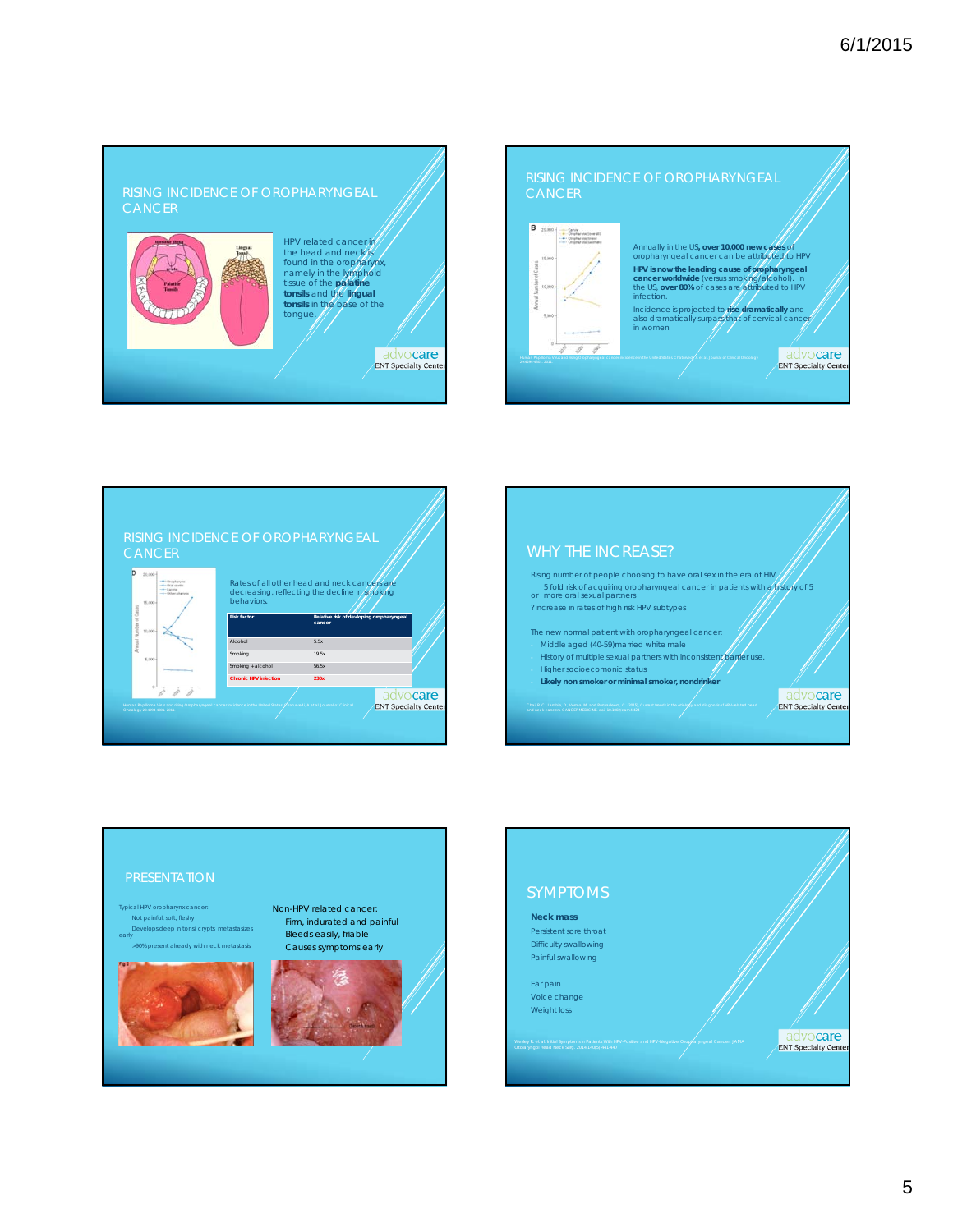## RISING INCIDENCE OF OROPHARYNGEAL



# HPV related cancer in<br>the head and neck is<br>found in the oropharynx,<br>namely in the lymphoid<br>tissue of the **palatine**<br>**tonsils** in the base of the<br>**tonsils** in the base of the<br>tongue.

advocare ENT Specialty Cente

## **CANCER**



Annually in the US**, over 10,000 new cases** of oropharyngeal cancer can be attributed to HPV **HPV is now the leading cause of oropharyngeal cancer worldwide** (versus smoking/alcohol). In the US, **over 80%** of cases are attributed to HPV infection. Incidence is projected to **rise dramatically** and<br>also dramatically surpass that of cervical cancer<br>in women

> advocare **ENT Specialty Cente**





- History of multiple sexual partners with inconsistent parter use.
- Higher socioecomonic status Likely non smoker or minimal smoker, nondrinker

advocare **ENT Specialty Cente** 



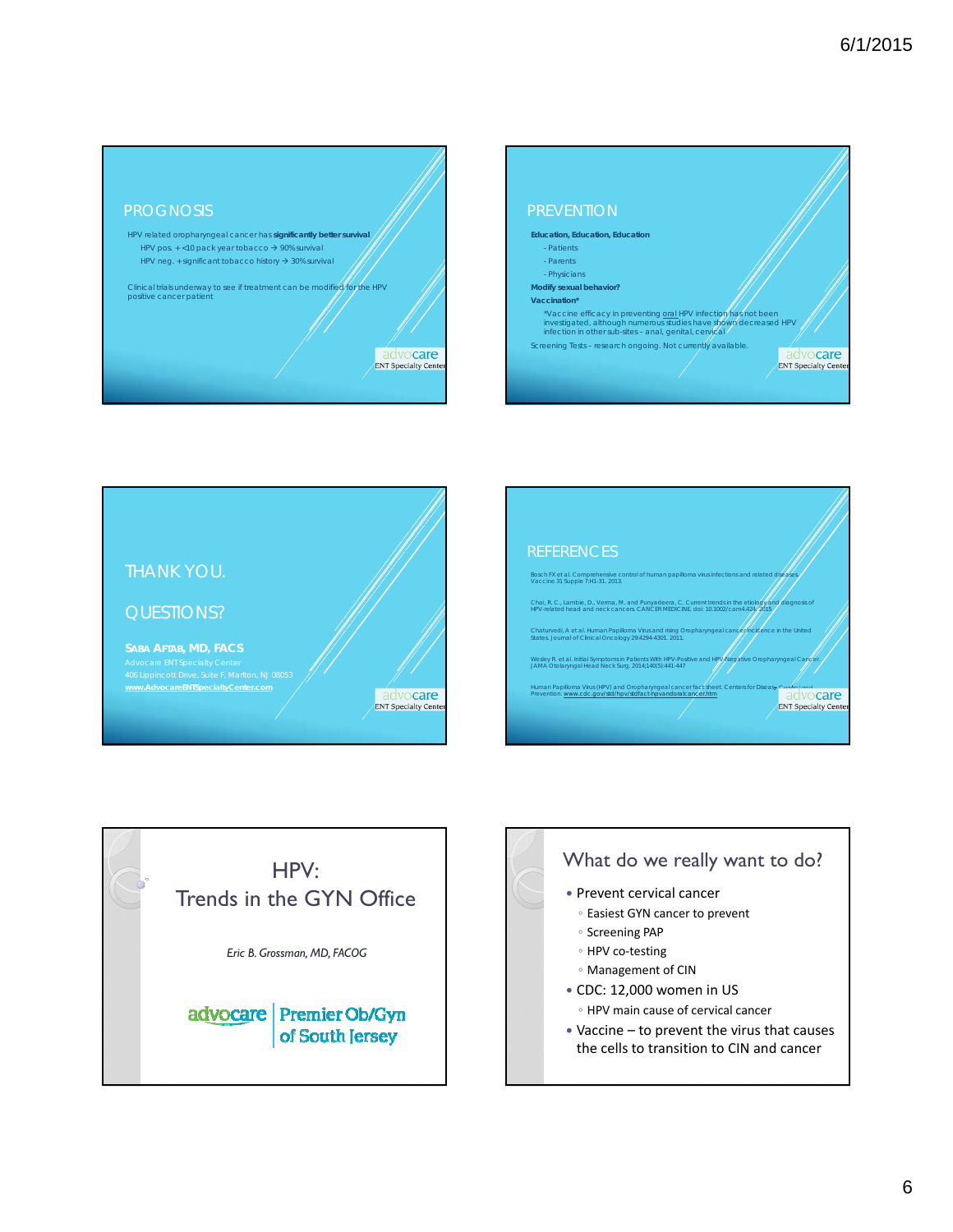











- CDC: 12,000 women in US
	- HPV main cause of cervical cancer
- Vaccine to prevent the virus that causes the cells to transition to CIN and cancer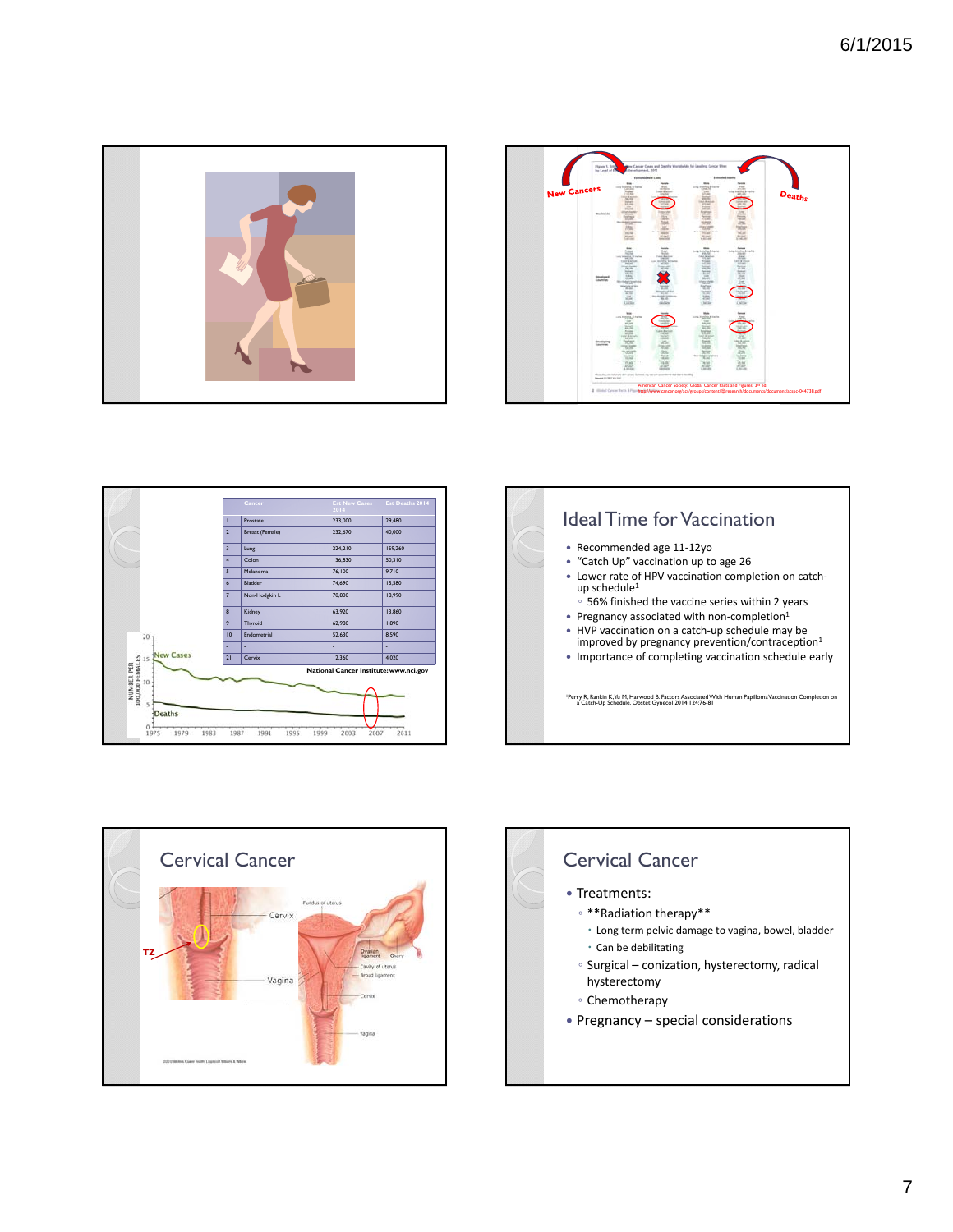









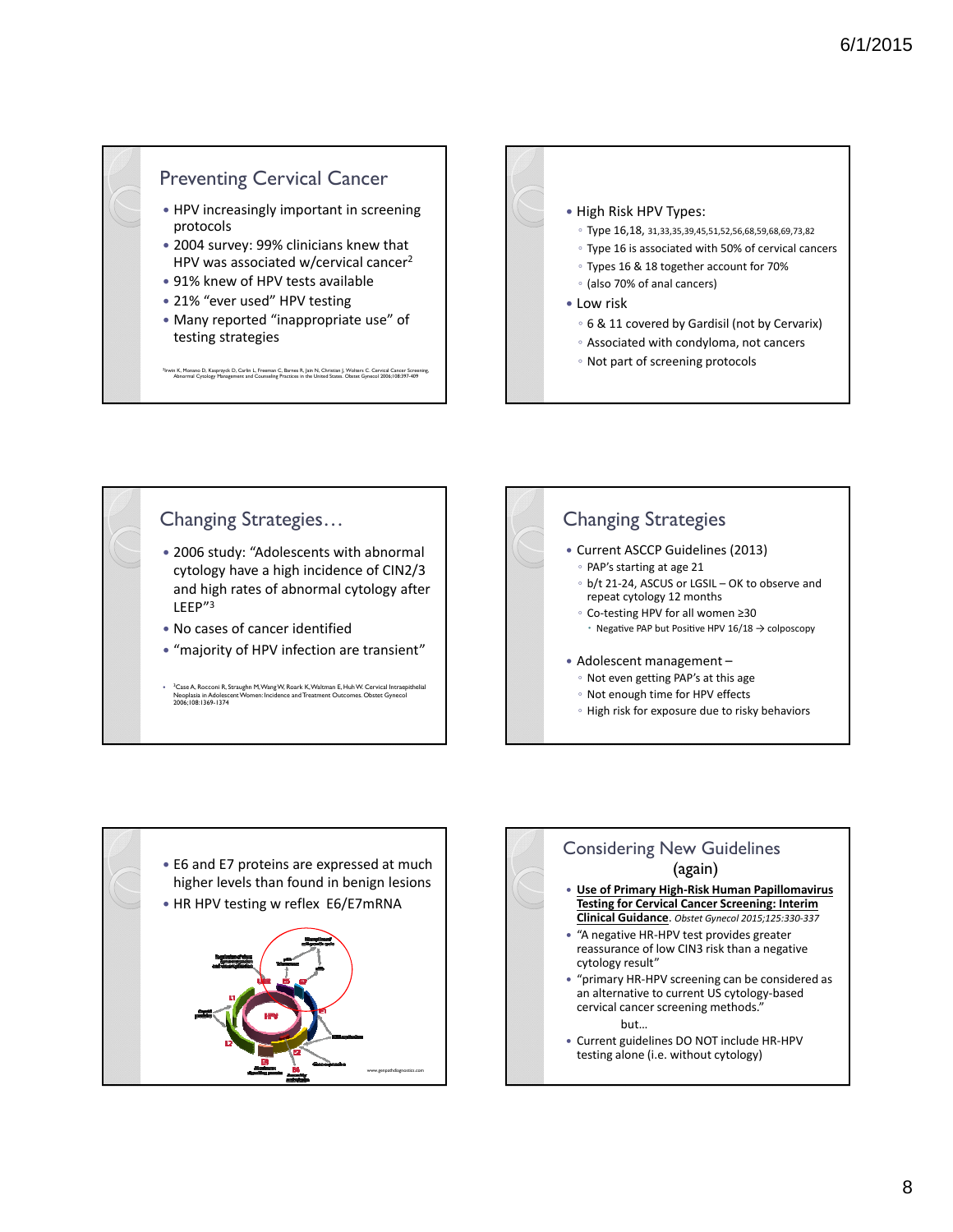## Preventing Cervical Cancer

- HPV increasingly important in screening protocols
- 2004 survey: 99% clinicians knew that HPV was associated w/cervical cancer<sup>2</sup>
- 91% knew of HPV tests available
- 21% "ever used" HPV testing
- Many reported "inappropriate use" of testing strategies

llrwin K, Monano D, Kasprzyck D, Carlin L, Freeman C, Barnes R, Jain N, Christian J, Wolters C. Cervical Cancer Screening,<br>Abnormal Cytology Management and Counseling Practices in the United States. Obstet Gynecol 2006;108



◦ Not part of screening protocols

## Changing Strategies…

- 2006 study: "Adolescents with abnormal cytology have a high incidence of CIN2/3 and high rates of abnormal cytology after LEEP"3
- No cases of cancer identified
- "majority of HPV infection are transient"
- <sup>3</sup>Case A, Rocconi R, Straughn M, Wang W, Roark K, Waltman E, Huh W. Cervical Intraepithelial Neoplasia in Adolescent Women: Incidence and Treatment Outcomes. Obstet Gynecol 2006;108:1369-1374





## Considering New Guidelines (again)

- **Use of Primary High‐Risk Human Papillomavirus Testing for Cervical Cancer Screening: Interim Clinical Guidance**. *Obstet Gynecol 2015;125:330‐337*
- "A negative HR-HPV test provides greater reassurance of low CIN3 risk than a negative cytology result"
- "primary HR‐HPV screening can be considered as an alternative to current US cytology‐based cervical cancer screening methods."

but…

 Current guidelines DO NOT include HR‐HPV testing alone (i.e. without cytology)